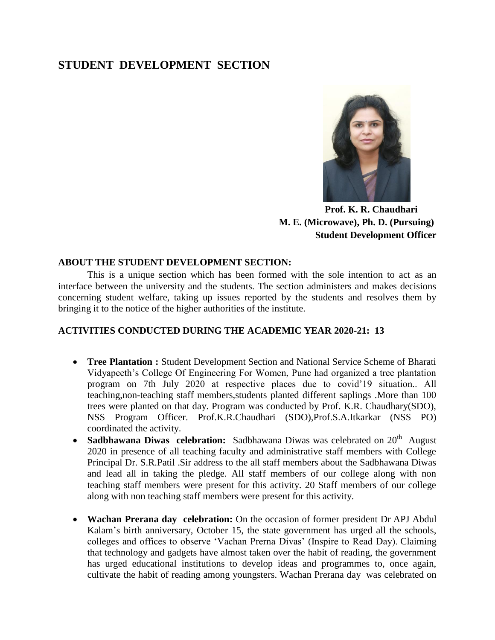## **STUDENT DEVELOPMENT SECTION**



 **Prof. K. R. Chaudhari M. E. (Microwave), Ph. D. (Pursuing) Student Development Officer**

## **ABOUT THE STUDENT DEVELOPMENT SECTION:**

This is a unique section which has been formed with the sole intention to act as an interface between the university and the students. The section administers and makes decisions concerning student welfare, taking up issues reported by the students and resolves them by bringing it to the notice of the higher authorities of the institute.

## **ACTIVITIES CONDUCTED DURING THE ACADEMIC YEAR 2020-21: 13**

- **Tree Plantation :** Student Development Section and National Service Scheme of Bharati Vidyapeeth"s College Of Engineering For Women, Pune had organized a tree plantation program on 7th July 2020 at respective places due to covid"19 situation.. All teaching,non-teaching staff members,students planted different saplings .More than 100 trees were planted on that day. Program was conducted by Prof. K.R. Chaudhary(SDO), NSS Program Officer. Prof.K.R.Chaudhari (SDO),Prof.S.A.Itkarkar (NSS PO) coordinated the activity.
- Sadbhawana Diwas celebration: Sadbhawana Diwas was celebrated on 20<sup>th</sup> August 2020 in presence of all teaching faculty and administrative staff members with College Principal Dr. S.R.Patil .Sir address to the all staff members about the Sadbhawana Diwas and lead all in taking the pledge. All staff members of our college along with non teaching staff members were present for this activity. 20 Staff members of our college along with non teaching staff members were present for this activity.
- **Wachan Prerana day celebration:** On the occasion of former president Dr [APJ Abdul](https://indianexpress.com/about/apj-abdul-kalam)  Kalam's birth anniversary, October 15, the state government has urged all the schools, colleges and offices to observe "Vachan Prerna Divas" (Inspire to Read Day). Claiming that technology and gadgets have almost taken over the habit of reading, the government has urged educational institutions to develop ideas and programmes to, once again, cultivate the habit of reading among youngsters. Wachan Prerana day was celebrated on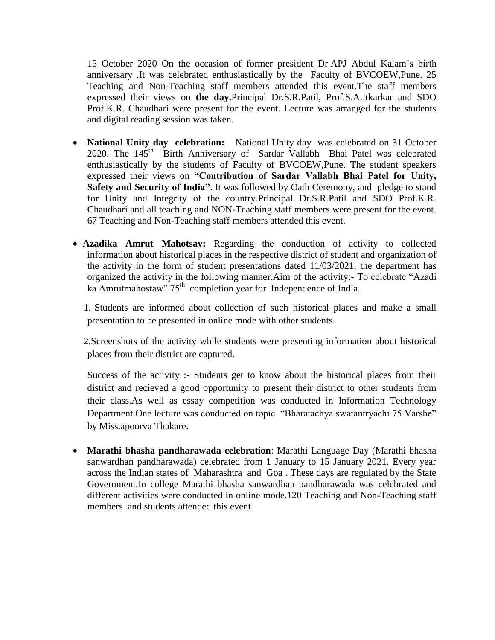15 October 2020 On the occasion of former president Dr [APJ Abdul Kalam"](https://indianexpress.com/about/apj-abdul-kalam)s birth anniversary .It was celebrated enthusiastically by the Faculty of BVCOEW,Pune. 25 Teaching and Non-Teaching staff members attended this event.The staff members expressed their views on **the day.**Principal Dr.S.R.Patil, Prof.S.A.Itkarkar and SDO Prof.K.R. Chaudhari were present for the event. Lecture was arranged for the students and digital reading session was taken.

- **National Unity day celebration:** National Unity day was celebrated on 31 October 2020. The 145<sup>th</sup> Birth Anniversary of Sardar Vallabh Bhai Patel was celebrated enthusiastically by the students of Faculty of BVCOEW,Pune. The student speakers expressed their views on **"Contribution of Sardar Vallabh Bhai Patel for Unity, Safety and Security of India"**. It was followed by Oath Ceremony, and pledge to stand for Unity and Integrity of the country.Principal Dr.S.R.Patil and SDO Prof.K.R. Chaudhari and all teaching and NON-Teaching staff members were present for the event. 67 Teaching and Non-Teaching staff members attended this event.
- **Azadika Amrut Mahotsav:** Regarding the conduction of activity to collected information about historical places in the respective district of student and organization of the activity in the form of student presentations dated 11/03/2021, the department has organized the activity in the following manner.Aim of the activity:- To celebrate "Azadi ka Amrutmahostaw" 75<sup>th</sup> completion year for Independence of India.

1. Students are informed about collection of such historical places and make a small presentation to be presented in online mode with other students.

2.Screenshots of the activity while students were presenting information about historical places from their district are captured.

Success of the activity :- Students get to know about the historical places from their district and recieved a good opportunity to present their district to other students from their class.As well as essay competition was conducted in Information Technology Department.One lecture was conducted on topic "Bharatachya swatantryachi 75 Varshe" by Miss.apoorva Thakare.

 **Marathi bhasha pandharawada celebration**: Marathi Language Day (Marathi bhasha sanwardhan pandharawada) celebrated from 1 January to 15 January 2021. Every year across the Indian states of Maharashtra and Goa . These days are regulated by the State Government.In college Marathi bhasha sanwardhan pandharawada was celebrated and different activities were conducted in online mode.120 Teaching and Non-Teaching staff members and students attended this event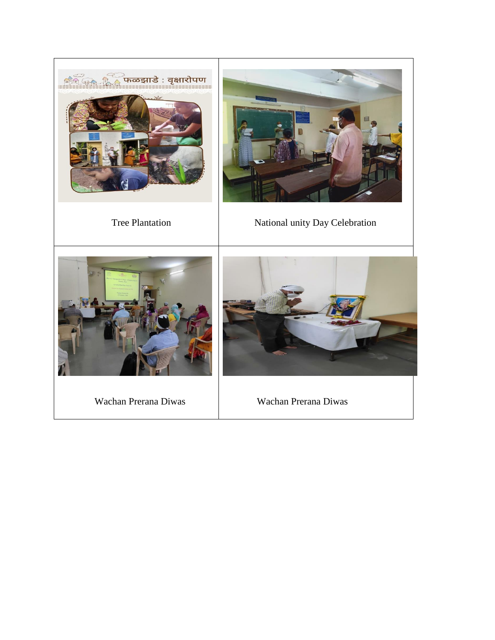